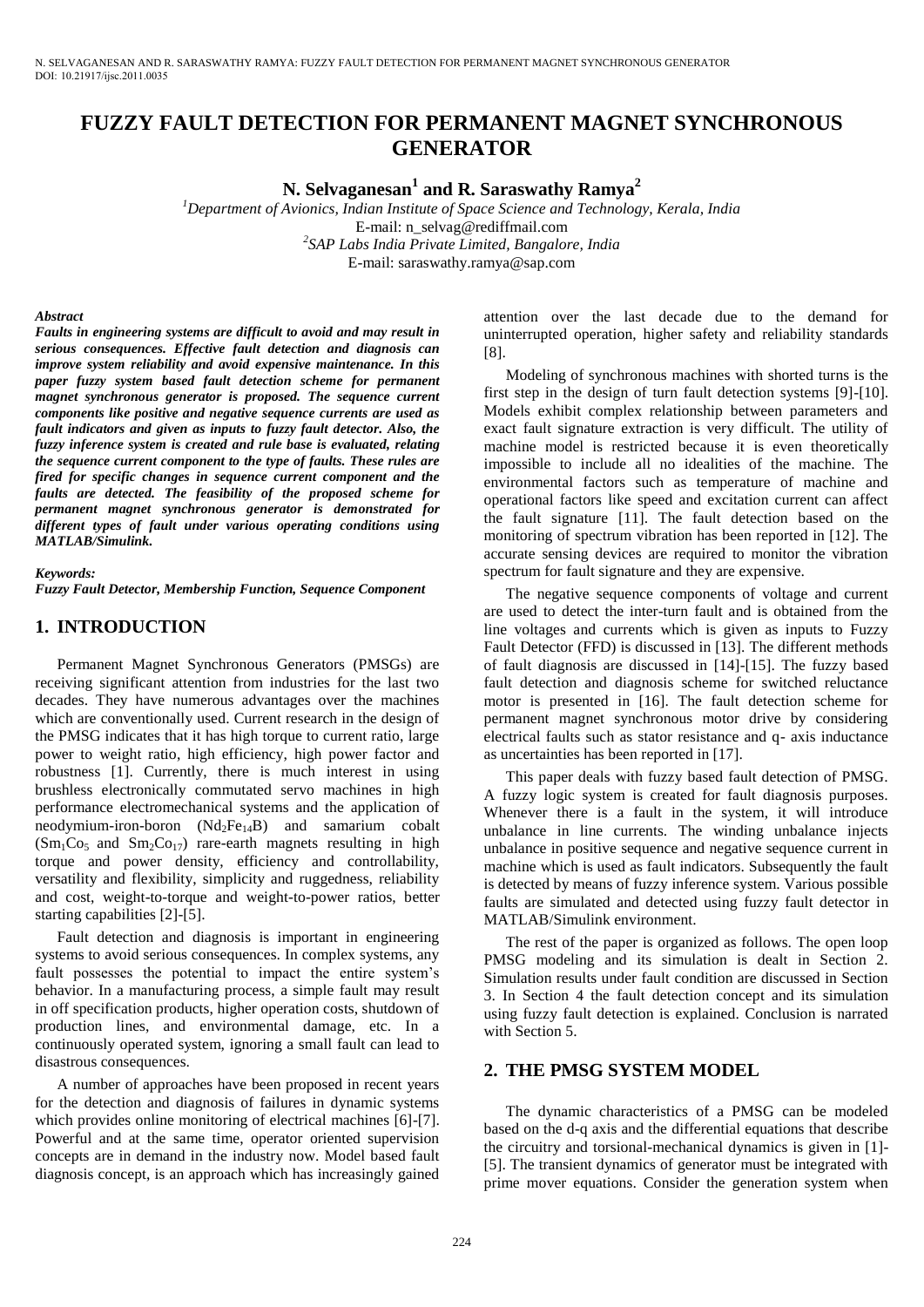# **FUZZY FAULT DETECTION FOR PERMANENT MAGNET SYNCHRONOUS GENERATOR**

**N. Selvaganesan<sup>1</sup> and R. Saraswathy Ramya<sup>2</sup>**

*<sup>1</sup>Department of Avionics, Indian Institute of Space Science and Technology, Kerala, India* 

E-mail: n\_selvag@rediffmail.com

*2 SAP Labs India Private Limited, Bangalore, India*  E-mail: saraswathy.ramya@sap.com

#### *Abstract*

*Faults in engineering systems are difficult to avoid and may result in serious consequences. Effective fault detection and diagnosis can improve system reliability and avoid expensive maintenance. In this paper fuzzy system based fault detection scheme for permanent magnet synchronous generator is proposed. The sequence current components like positive and negative sequence currents are used as fault indicators and given as inputs to fuzzy fault detector. Also, the fuzzy inference system is created and rule base is evaluated, relating the sequence current component to the type of faults. These rules are fired for specific changes in sequence current component and the faults are detected. The feasibility of the proposed scheme for permanent magnet synchronous generator is demonstrated for different types of fault under various operating conditions using MATLAB/Simulink.* 

#### *Keywords:*

*Fuzzy Fault Detector, Membership Function, Sequence Component* 

### **1. INTRODUCTION**

Permanent Magnet Synchronous Generators (PMSGs) are receiving significant attention from industries for the last two decades. They have numerous advantages over the machines which are conventionally used. Current research in the design of the PMSG indicates that it has high torque to current ratio, large power to weight ratio, high efficiency, high power factor and robustness [1]. Currently, there is much interest in using brushless electronically commutated servo machines in high performance electromechanical systems and the application of neodymium-iron-boron  $(Nd_2Fe_{14}B)$  and samarium cobalt  $(Sm_1Co_5$  and  $Sm_2Co_{17}$  rare-earth magnets resulting in high torque and power density, efficiency and controllability, versatility and flexibility, simplicity and ruggedness, reliability and cost, weight-to-torque and weight-to-power ratios, better starting capabilities [2]-[5].

Fault detection and diagnosis is important in engineering systems to avoid serious consequences. In complex systems, any fault possesses the potential to impact the entire system's behavior. In a manufacturing process, a simple fault may result in off specification products, higher operation costs, shutdown of production lines, and environmental damage, etc. In a continuously operated system, ignoring a small fault can lead to disastrous consequences.

A number of approaches have been proposed in recent years for the detection and diagnosis of failures in dynamic systems which provides online monitoring of electrical machines [6]-[7]. Powerful and at the same time, operator oriented supervision concepts are in demand in the industry now. Model based fault diagnosis concept, is an approach which has increasingly gained attention over the last decade due to the demand for uninterrupted operation, higher safety and reliability standards [8].

Modeling of synchronous machines with shorted turns is the first step in the design of turn fault detection systems [9]-[10]. Models exhibit complex relationship between parameters and exact fault signature extraction is very difficult. The utility of machine model is restricted because it is even theoretically impossible to include all no idealities of the machine. The environmental factors such as temperature of machine and operational factors like speed and excitation current can affect the fault signature [11]. The fault detection based on the monitoring of spectrum vibration has been reported in [12]. The accurate sensing devices are required to monitor the vibration spectrum for fault signature and they are expensive.

The negative sequence components of voltage and current are used to detect the inter-turn fault and is obtained from the line voltages and currents which is given as inputs to Fuzzy Fault Detector (FFD) is discussed in [13]. The different methods of fault diagnosis are discussed in [14]-[15]. The fuzzy based fault detection and diagnosis scheme for switched reluctance motor is presented in [16]. The fault detection scheme for permanent magnet synchronous motor drive by considering electrical faults such as stator resistance and q- axis inductance as uncertainties has been reported in [17].

This paper deals with fuzzy based fault detection of PMSG. A fuzzy logic system is created for fault diagnosis purposes. Whenever there is a fault in the system, it will introduce unbalance in line currents. The winding unbalance injects unbalance in positive sequence and negative sequence current in machine which is used as fault indicators. Subsequently the fault is detected by means of fuzzy inference system. Various possible faults are simulated and detected using fuzzy fault detector in MATLAB/Simulink environment.

The rest of the paper is organized as follows. The open loop PMSG modeling and its simulation is dealt in Section 2. Simulation results under fault condition are discussed in Section 3. In Section 4 the fault detection concept and its simulation using fuzzy fault detection is explained. Conclusion is narrated with Section 5.

### **2. THE PMSG SYSTEM MODEL**

The dynamic characteristics of a PMSG can be modeled based on the d-q axis and the differential equations that describe the circuitry and torsional-mechanical dynamics is given in [1]- [5]. The transient dynamics of generator must be integrated with prime mover equations. Consider the generation system when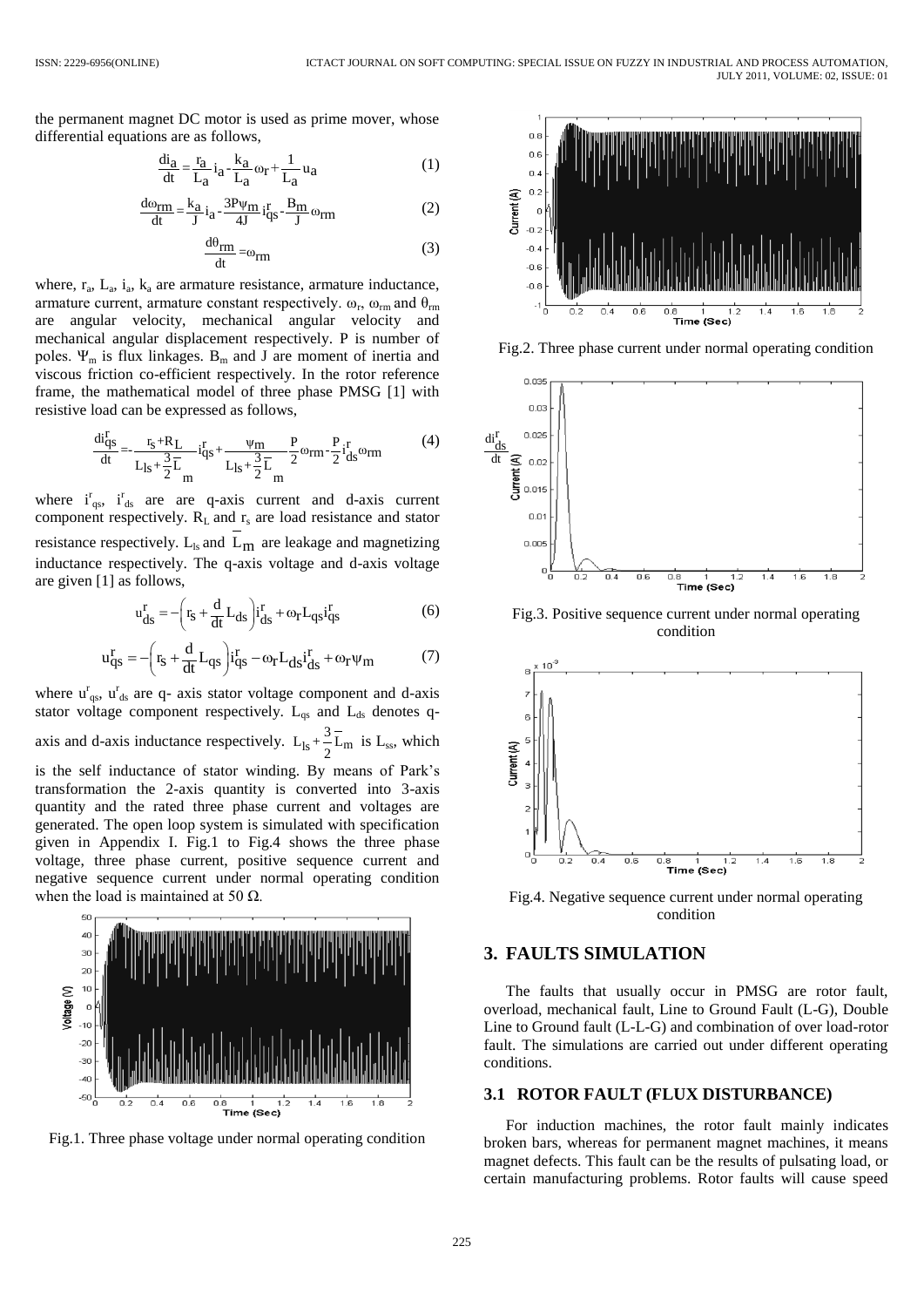the permanent magnet DC motor is used as prime mover, whose differential equations are as follows,

$$
\frac{di_a}{dt} = \frac{r_a}{L_a} i_a - \frac{k_a}{L_a} \omega_r + \frac{1}{L_a} u_a \tag{1}
$$

$$
\frac{d\omega_{\rm rm}}{dt} = \frac{k_{\rm a}}{J} i_{\rm a} - \frac{3P\psi_{\rm m}}{4J} i_{\rm qs}^{\rm r} - \frac{B_{\rm m}}{J} \omega_{\rm rm} \tag{2}
$$

$$
\frac{d\theta_{rm}}{dt} = \omega_{rm}
$$
 (3)

where,  $r_a$ ,  $L_a$ ,  $i_a$ ,  $k_a$  are armature resistance, armature inductance, armature current, armature constant respectively.  $\omega_r$ ,  $\omega_{rm}$  and  $\theta_{rm}$ are angular velocity, mechanical angular velocity and mechanical angular displacement respectively. P is number of poles.  $\Psi_m$  is flux linkages.  $B_m$  and J are moment of inertia and viscous friction co-efficient respectively. In the rotor reference frame, the mathematical model of three phase PMSG [1] with resistive load can be expressed as follows,

$$
\frac{di_{qs}^{r}}{dt} = -\frac{r_s + R_L}{L_{ls} + \frac{3}{2}\overline{L}} - i_{qs}^{r} + \frac{\psi_m}{L_{ls} + \frac{3}{2}\overline{L}} - \frac{P}{2}\omega_{rm} - \frac{P}{2}i_{ds}^{r}\omega_{rm}
$$
(4)

where  $i_{qs}^r$ ,  $i_{ds}^r$  are are q-axis current and d-axis current component respectively.  $R_L$  and  $r_s$  are load resistance and stator resistance respectively.  $L_{ls}$  and  $L_m$  are leakage and magnetizing inductance respectively. The q-axis voltage and d-axis voltage are given [1] as follows,

$$
u_{ds}^r = -\left(r_s + \frac{d}{dt}L_{ds}\right) i_{ds}^r + \omega_r L_{qs} i_{qs}^r
$$
 (6)

$$
u_{qs}^{r} = -\left(r_s + \frac{d}{dt}L_{qs}\right)i_{qs}^{r} - \omega_r L_{ds}i_{ds}^{r} + \omega_r \psi_m
$$
 (7)

where  $u_{qs}^{r}$ ,  $u_{ds}^{r}$  are q- axis stator voltage component and d-axis stator voltage component respectively.  $L_{qs}$  and  $L_{ds}$  denotes qaxis and d-axis inductance respectively.  $L_{ls} + \frac{5}{2}L_m$  $L_{ls} + \frac{3}{2}\overline{L}_{m}$  is  $L_{ss}$ , which is the self inductance of stator winding. By means of Park's transformation the 2-axis quantity is converted into 3-axis quantity and the rated three phase current and voltages are generated. The open loop system is simulated with specification given in Appendix I. Fig.1 to Fig.4 shows the three phase voltage, three phase current, positive sequence current and negative sequence current under normal operating condition when the load is maintained at 50  $\Omega$ .



Fig.1. Three phase voltage under normal operating condition



Fig.2. Three phase current under normal operating condition



Fig.3. Positive sequence current under normal operating condition



Fig.4. Negative sequence current under normal operating condition

#### **3. FAULTS SIMULATION**

The faults that usually occur in PMSG are rotor fault, overload, mechanical fault, Line to Ground Fault (L-G), Double Line to Ground fault (L-L-G) and combination of over load-rotor fault. The simulations are carried out under different operating conditions.

#### **3.1 ROTOR FAULT (FLUX DISTURBANCE)**

For induction machines, the rotor fault mainly indicates broken bars, whereas for permanent magnet machines, it means magnet defects. This fault can be the results of pulsating load, or certain manufacturing problems. Rotor faults will cause speed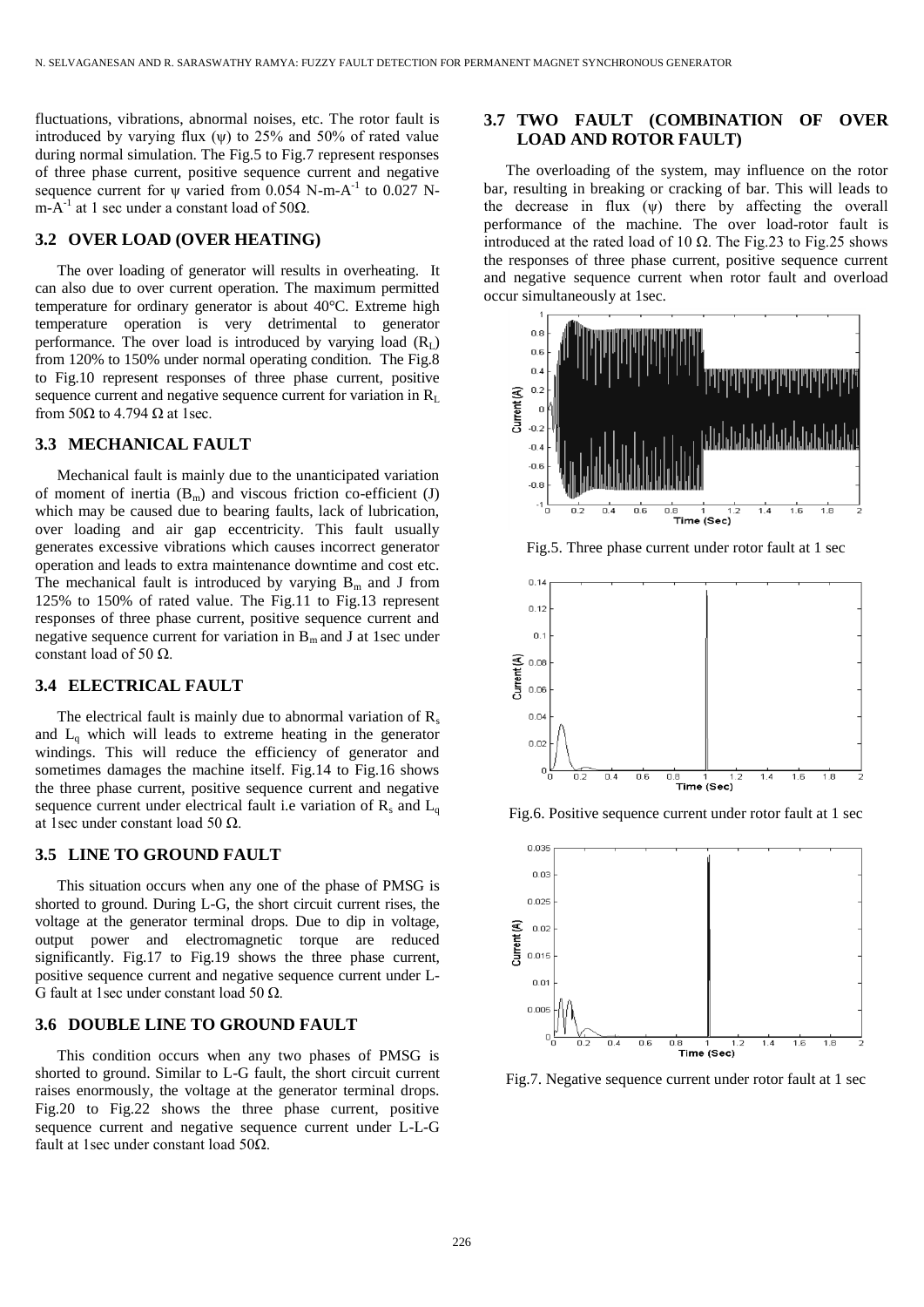fluctuations, vibrations, abnormal noises, etc. The rotor fault is introduced by varying flux  $(\psi)$  to 25% and 50% of rated value during normal simulation. The Fig.5 to Fig.7 represent responses of three phase current, positive sequence current and negative sequence current for  $\psi$  varied from 0.054 N-m-A<sup>-1</sup> to 0.027 Nm-A<sup>-1</sup> at 1 sec under a constant load of 50 $\Omega$ .

#### **3.2 OVER LOAD (OVER HEATING)**

The over loading of generator will results in overheating. It can also due to over current operation. The maximum permitted temperature for ordinary generator is about 40°C. Extreme high temperature operation is very detrimental to generator performance. The over load is introduced by varying load  $(R<sub>L</sub>)$ from 120% to 150% under normal operating condition. The Fig.8 to Fig.10 represent responses of three phase current, positive sequence current and negative sequence current for variation in  $R_L$ from 50 $\Omega$  to 4.794  $\Omega$  at 1sec.

#### **3.3 MECHANICAL FAULT**

Mechanical fault is mainly due to the unanticipated variation of moment of inertia  $(B_m)$  and viscous friction co-efficient (J) which may be caused due to bearing faults, lack of lubrication, over loading and air gap eccentricity. This fault usually generates excessive vibrations which causes incorrect generator operation and leads to extra maintenance downtime and cost etc. The mechanical fault is introduced by varying  $B_m$  and J from 125% to 150% of rated value. The Fig.11 to Fig.13 represent responses of three phase current, positive sequence current and negative sequence current for variation in  $B_m$  and J at 1sec under constant load of 50  $\Omega$ .

#### **3.4 ELECTRICAL FAULT**

The electrical fault is mainly due to abnormal variation of  $R_s$ and  $L_q$  which will leads to extreme heating in the generator windings. This will reduce the efficiency of generator and sometimes damages the machine itself. Fig.14 to Fig.16 shows the three phase current, positive sequence current and negative sequence current under electrical fault i.e variation of  $R_s$  and  $L_q$ at 1sec under constant load 50  $\Omega$ .

#### **3.5 LINE TO GROUND FAULT**

This situation occurs when any one of the phase of PMSG is shorted to ground. During L-G, the short circuit current rises, the voltage at the generator terminal drops. Due to dip in voltage, output power and electromagnetic torque are reduced significantly. Fig.17 to Fig.19 shows the three phase current, positive sequence current and negative sequence current under L-G fault at 1sec under constant load 50 Ω.

### **3.6 DOUBLE LINE TO GROUND FAULT**

This condition occurs when any two phases of PMSG is shorted to ground. Similar to L-G fault, the short circuit current raises enormously, the voltage at the generator terminal drops. Fig.20 to Fig.22 shows the three phase current, positive sequence current and negative sequence current under L-L-G fault at 1sec under constant load 50Ω.

### **3.7 TWO FAULT (COMBINATION OF OVER LOAD AND ROTOR FAULT)**

The overloading of the system, may influence on the rotor bar, resulting in breaking or cracking of bar. This will leads to the decrease in flux  $(\psi)$  there by affecting the overall performance of the machine. The over load-rotor fault is introduced at the rated load of 10  $\Omega$ . The Fig.23 to Fig.25 shows the responses of three phase current, positive sequence current and negative sequence current when rotor fault and overload occur simultaneously at 1sec.



Fig.5. Three phase current under rotor fault at 1 sec



Fig.6. Positive sequence current under rotor fault at 1 sec



Fig.7. Negative sequence current under rotor fault at 1 sec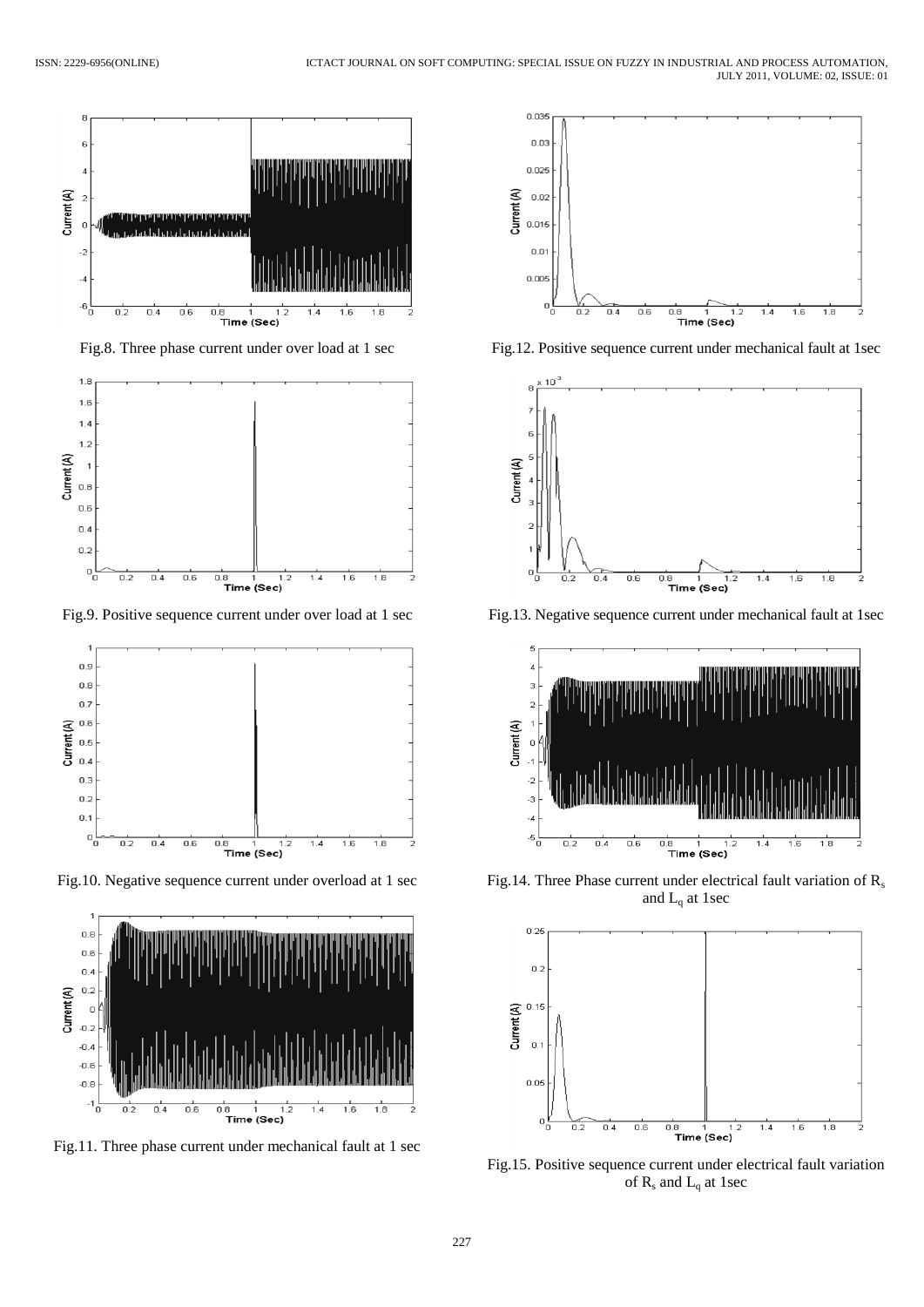

Fig.8. Three phase current under over load at 1 sec



Fig.9. Positive sequence current under over load at 1 sec



Fig.10. Negative sequence current under overload at 1 sec



Fig.11. Three phase current under mechanical fault at 1 sec



Fig.12. Positive sequence current under mechanical fault at 1sec



Fig.13. Negative sequence current under mechanical fault at 1sec



Fig.14. Three Phase current under electrical fault variation of R<sub>s</sub> and  $L_q$  at 1sec



Fig.15. Positive sequence current under electrical fault variation of  $R_s$  and  $L_q$  at 1sec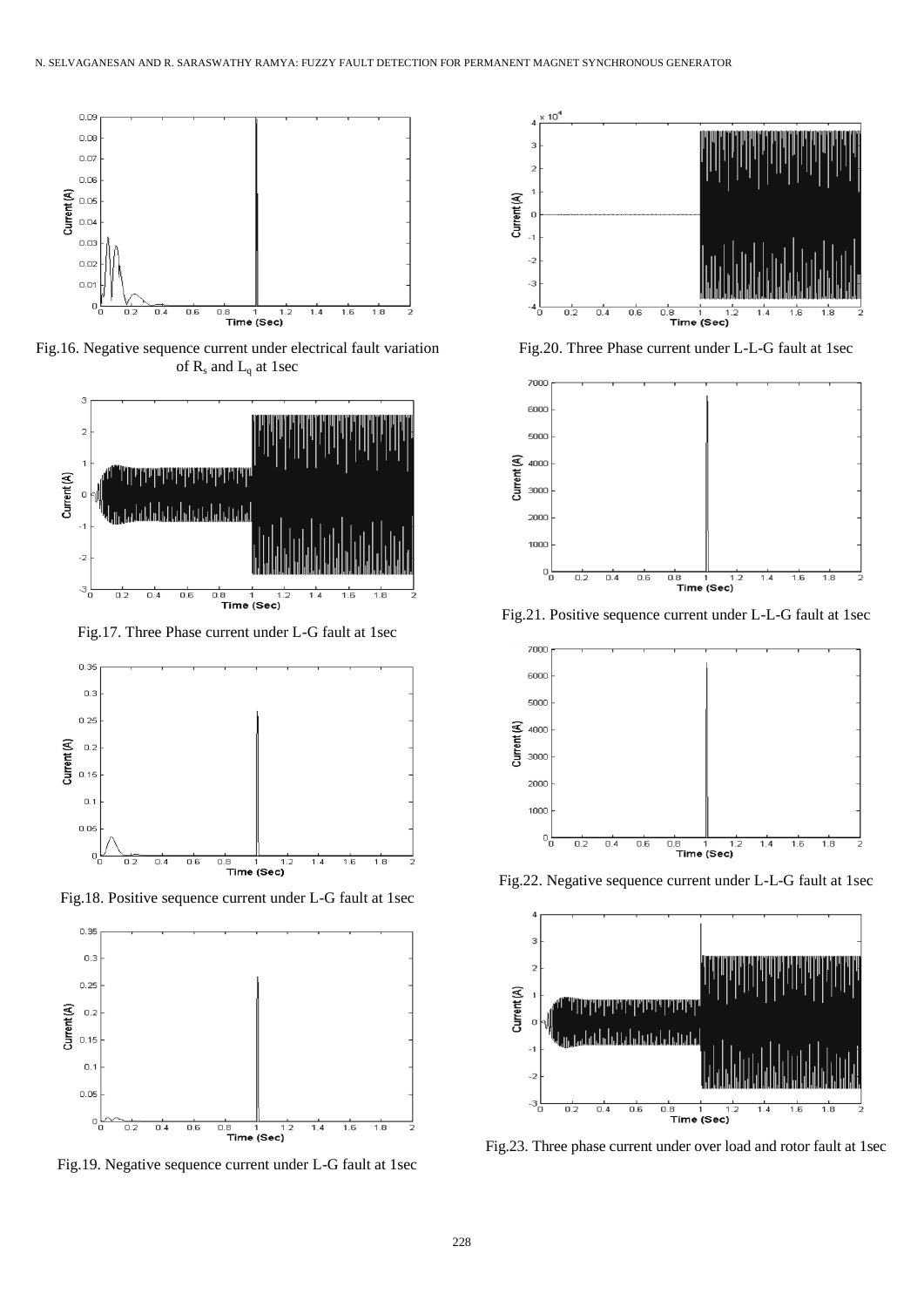

Fig.16. Negative sequence current under electrical fault variation of  $R_s$  and  $L_q$  at 1sec



Fig.17. Three Phase current under L-G fault at 1sec



Fig.18. Positive sequence current under L-G fault at 1sec



Fig.19. Negative sequence current under L-G fault at 1sec



Fig.20. Three Phase current under L-L-G fault at 1sec



Fig.21. Positive sequence current under L-L-G fault at 1sec



Fig.22. Negative sequence current under L-L-G fault at 1sec



Fig.23. Three phase current under over load and rotor fault at 1sec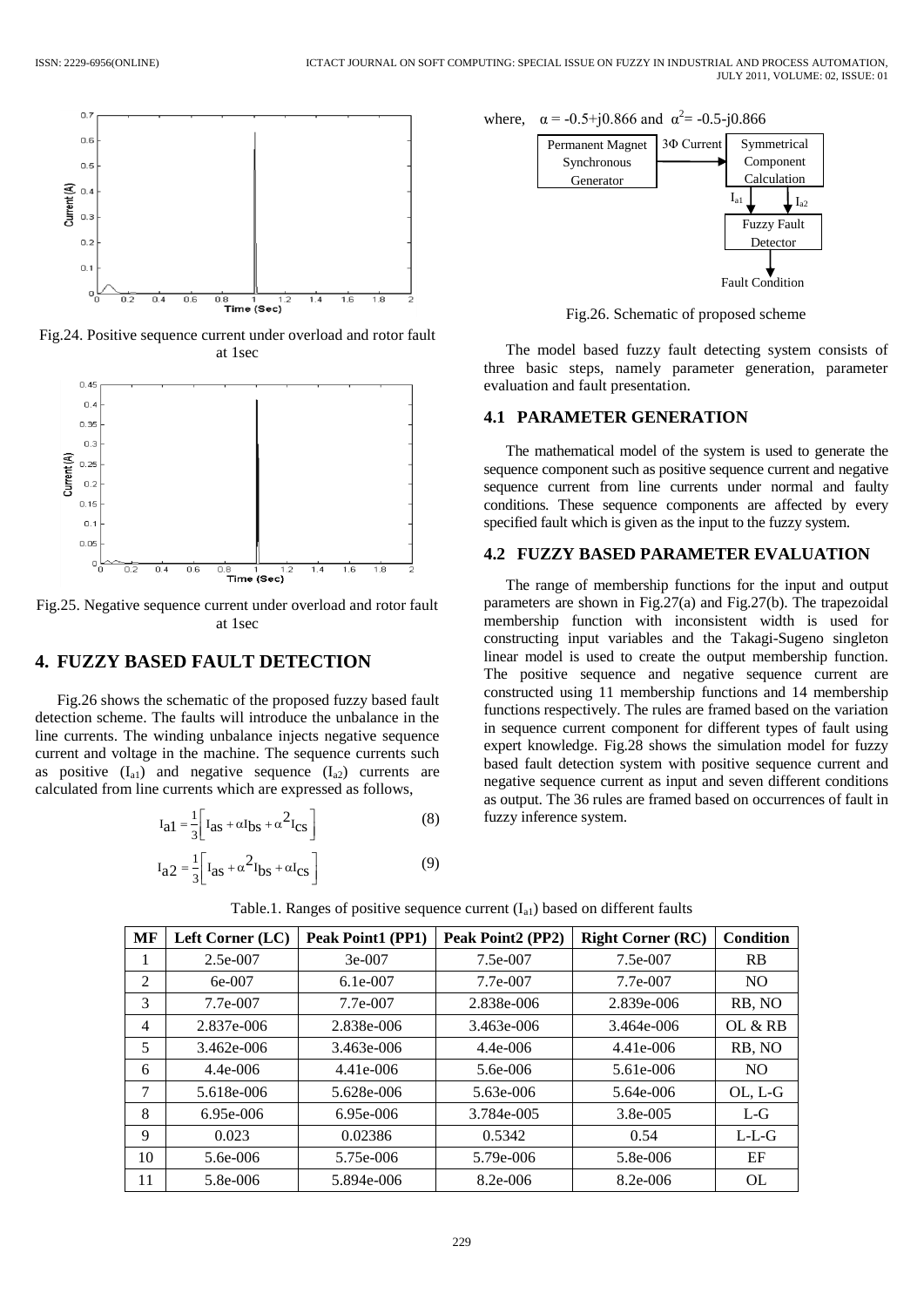

Fig.24. Positive sequence current under overload and rotor fault at 1sec



Fig.25. Negative sequence current under overload and rotor fault at 1sec

## **4. FUZZY BASED FAULT DETECTION**

Fig.26 shows the schematic of the proposed fuzzy based fault detection scheme. The faults will introduce the unbalance in the line currents. The winding unbalance injects negative sequence current and voltage in the machine. The sequence currents such as positive  $(I_{a1})$  and negative sequence  $(I_{a2})$  currents are calculated from line currents which are expressed as follows,

$$
I_{a1} = \frac{1}{3} \left[ I_{as} + \alpha I_{bs} + \alpha^2 I_{cs} \right]
$$
 (8)

$$
I_{a2} = \frac{1}{3} \left[ I_{as} + \alpha^2 I_{bs} + \alpha I_{cs} \right]
$$
 (9)

where,  $\alpha = -0.5 + j0.866$  and  $\alpha^2 = -0.5 - j0.866$ 



Fig.26. Schematic of proposed scheme

The model based fuzzy fault detecting system consists of three basic steps, namely parameter generation, parameter evaluation and fault presentation.

#### **4.1 PARAMETER GENERATION**

The mathematical model of the system is used to generate the sequence component such as positive sequence current and negative sequence current from line currents under normal and faulty conditions. These sequence components are affected by every specified fault which is given as the input to the fuzzy system.

### **4.2 FUZZY BASED PARAMETER EVALUATION**

The range of membership functions for the input and output parameters are shown in Fig.27(a) and Fig.27(b). The trapezoidal membership function with inconsistent width is used for constructing input variables and the Takagi-Sugeno singleton linear model is used to create the output membership function. The positive sequence and negative sequence current are constructed using 11 membership functions and 14 membership functions respectively. The rules are framed based on the variation in sequence current component for different types of fault using expert knowledge. Fig.28 shows the simulation model for fuzzy based fault detection system with positive sequence current and negative sequence current as input and seven different conditions as output. The 36 rules are framed based on occurrences of fault in fuzzy inference system.

| MF | Left Corner (LC) | Peak Point1 (PP1) | Peak Point2 (PP2) | <b>Right Corner (RC)</b> | Condition      |
|----|------------------|-------------------|-------------------|--------------------------|----------------|
| 1  | 2.5e-007         | $3e-007$          | 7.5e-007          | 7.5e-007                 | <b>RB</b>      |
| 2  | $6e-007$         | $6.1e-007$        | 7.7e-007          | 7.7e-007                 | N <sub>O</sub> |
| 3  | 7.7e-007         | 7.7e-007          | 2.838e-006        | 2.839e-006               | RB, NO         |
| 4  | 2.837e-006       | 2.838e-006        | 3.463e-006        | 3.464e-006               | OL & RB        |
| 5  | 3.462e-006       | 3.463e-006        | $4.4e - 006$      | 4.41e-006                | RB, NO         |
| 6  | 4.4e-006         | 4.41e-006         | 5.6e-006          | 5.61e-006                | N <sub>O</sub> |
| 7  | 5.618e-006       | 5.628e-006        | 5.63e-006         | 5.64e-006                | OL, L-G        |
| 8  | 6.95e-006        | $6.95e-006$       | 3.784e-005        | 3.8e-005                 | $L-G$          |
| 9  | 0.023            | 0.02386           | 0.5342            | 0.54                     | $L-L-G$        |
| 10 | 5.6e-006         | 5.75e-006         | 5.79e-006         | 5.8e-006                 | EF             |
| 11 | 5.8e-006         | 5.894e-006        | 8.2e-006          | 8.2e-006                 | <b>OL</b>      |

Table.1. Ranges of positive sequence current  $(I_{a1})$  based on different faults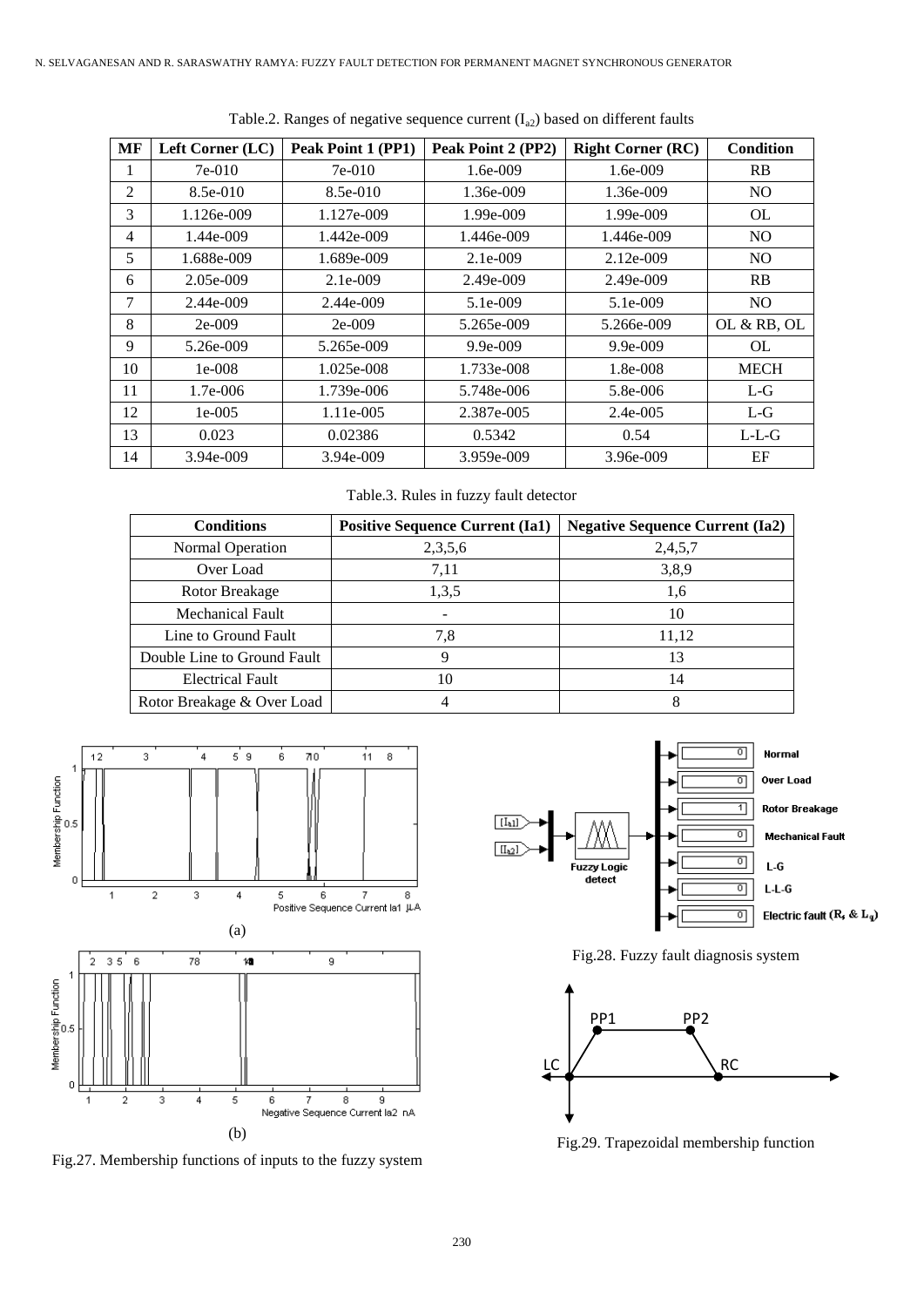| MF | Left Corner (LC) | Peak Point 1 (PP1) | Peak Point 2 (PP2) | <b>Right Corner (RC)</b> | <b>Condition</b> |
|----|------------------|--------------------|--------------------|--------------------------|------------------|
|    | $7e-010$         | $7e-010$           | 1.6e-009           | 1.6e-009                 | <b>RB</b>        |
| 2  | 8.5e-010         | 8.5e-010           | 1.36e-009          | 1.36e-009                | N <sub>O</sub>   |
| 3  | 1.126e-009       | 1.127e-009         | 1.99e-009          | 1.99e-009                | OL.              |
| 4  | 1.44e-009        | 1.442e-009         | 1.446e-009         | 1.446e-009               | NO.              |
| 5  | 1.688e-009       | 1.689e-009         | $2.1e-0.09$        | $2.12e-009$              | NO.              |
| 6  | 2.05e-009        | 2.1e-009           | $2.49e - 009$      | $2.49e - 009$            | RB               |
| 7  | $2.44e-009$      | $2.44e - 009$      | 5.1e-009           | 5.1e-009                 | N <sub>O</sub>   |
| 8  | $2e-009$         | $2e-009$           | 5.265e-009         | 5.266e-009               | OL & RB, OL      |
| 9  | 5.26e-009        | 5.265e-009         | $9.9e - 009$       | $9.9e - 009$             | OL.              |
| 10 | $1e-008$         | 1.025e-008         | 1.733e-008         | 1.8e-008                 | <b>MECH</b>      |
| 11 | 1.7e-006         | 1.739e-006         | 5.748e-006         | 5.8e-006                 | $L-G$            |
| 12 | $1e-005$         | 1.11e-005          | 2.387e-005         | 2.4e-005                 | $L-G$            |
| 13 | 0.023            | 0.02386            | 0.5342             | 0.54                     | $L-L-G$          |
| 14 | $3.94e - 009$    | $3.94e - 009$      | 3.959e-009         | 3.96e-009                | EF               |

Table.2. Ranges of negative sequence current  $(I_{a2})$  based on different faults

Table.3. Rules in fuzzy fault detector

| <b>Conditions</b>           | <b>Positive Sequence Current (Ia1)</b> | <b>Negative Sequence Current (Ia2)</b> |
|-----------------------------|----------------------------------------|----------------------------------------|
| Normal Operation            | 2,3,5,6                                | 2,4,5,7                                |
| Over Load                   | 7,11                                   | 3,8,9                                  |
| Rotor Breakage              | 1,3,5                                  | 1,6                                    |
| <b>Mechanical Fault</b>     |                                        | 10                                     |
| Line to Ground Fault        | 7.8                                    | 11,12                                  |
| Double Line to Ground Fault |                                        | 13                                     |
| <b>Electrical Fault</b>     | 10                                     | 14                                     |
| Rotor Breakage & Over Load  |                                        |                                        |



Fig.27. Membership functions of inputs to the fuzzy system



Fig.28. Fuzzy fault diagnosis system



Fig.29. Trapezoidal membership function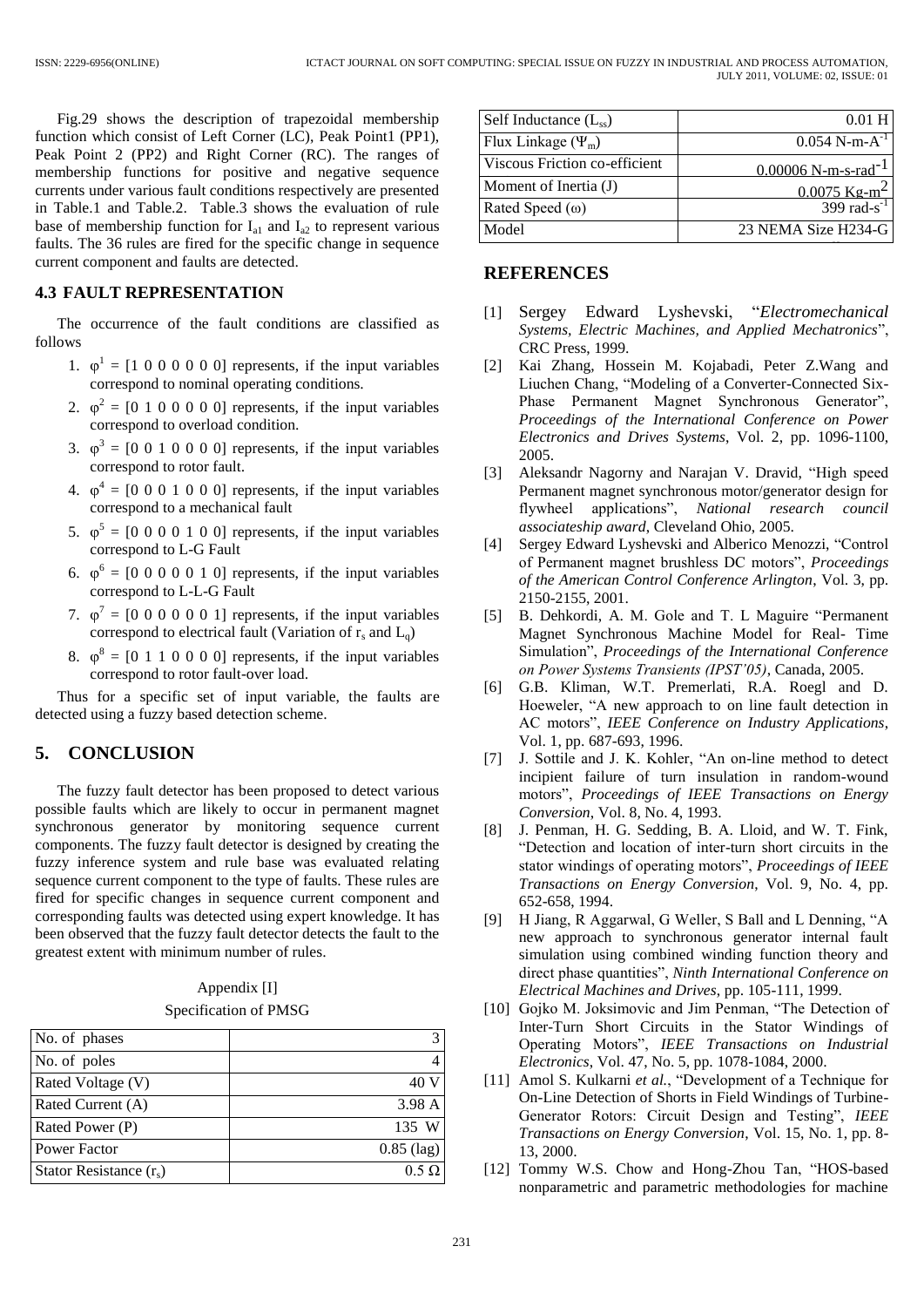Fig.29 shows the description of trapezoidal membership function which consist of Left Corner (LC), Peak Point1 (PP1), Peak Point 2 (PP2) and Right Corner (RC). The ranges of membership functions for positive and negative sequence currents under various fault conditions respectively are presented in Table.1 and Table.2. Table.3 shows the evaluation of rule base of membership function for  $I_{a1}$  and  $I_{a2}$  to represent various faults. The 36 rules are fired for the specific change in sequence current component and faults are detected.

#### **4.3 FAULT REPRESENTATION**

The occurrence of the fault conditions are classified as follows

- 1.  $\varphi^1 = [1 \ 0 \ 0 \ 0 \ 0 \ 0]$  represents, if the input variables correspond to nominal operating conditions.
- 2.  $\varphi^2 = [0 \ 1 \ 0 \ 0 \ 0 \ 0 \ 0]$  represents, if the input variables correspond to overload condition.
- 3.  $\varphi^3 = [0 \ 0 \ 1 \ 0 \ 0 \ 0 \ 0]$  represents, if the input variables correspond to rotor fault.
- 4.  $\varphi^4 = [0 \ 0 \ 0 \ 1 \ 0 \ 0 \ 0]$  represents, if the input variables correspond to a mechanical fault
- 5.  $\varphi^5 = [0 \ 0 \ 0 \ 0 \ 1 \ 0 \ 0]$  represents, if the input variables correspond to L-G Fault
- 6.  $\varphi^6 = [0 \ 0 \ 0 \ 0 \ 0 \ 1 \ 0]$  represents, if the input variables correspond to L-L-G Fault
- 7.  $\varphi^7 = [0 \ 0 \ 0 \ 0 \ 0 \ 0 \ 1]$  represents, if the input variables correspond to electrical fault (Variation of  $r_s$  and  $L_q$ )
- 8.  $\varphi^8 = [0 \ 1 \ 1 \ 0 \ 0 \ 0 \ 0]$  represents, if the input variables correspond to rotor fault-over load.

Thus for a specific set of input variable, the faults are detected using a fuzzy based detection scheme.

# **5. CONCLUSION**

The fuzzy fault detector has been proposed to detect various possible faults which are likely to occur in permanent magnet synchronous generator by monitoring sequence current components. The fuzzy fault detector is designed by creating the fuzzy inference system and rule base was evaluated relating sequence current component to the type of faults. These rules are fired for specific changes in sequence current component and corresponding faults was detected using expert knowledge. It has been observed that the fuzzy fault detector detects the fault to the greatest extent with minimum number of rules.

| Appendix [I]          |
|-----------------------|
| Specification of PMSG |

| No. of phases             |              |
|---------------------------|--------------|
| No. of poles              |              |
| Rated Voltage (V)         |              |
| Rated Current (A)         | 3.98 A       |
| Rated Power (P)           | 135 W        |
| Power Factor              | $0.85$ (lag) |
| Stator Resistance $(r_s)$ |              |

| Self Inductance $(L_{ss})$    | $0.01$ H                          |
|-------------------------------|-----------------------------------|
| Flux Linkage $(\Psi_m)$       | $0.054$ N-m-A <sup>-1</sup>       |
| Viscous Friction co-efficient | $0.00006$ N-m-s-rad <sup>-1</sup> |
| Moment of Inertia (J)         | $0.0075$ Kg-m <sup>2</sup>        |
| Rated Speed $(\omega)$        | 399 rad-s <sup>-1</sup>           |
| Model                         | 23 NEMA Size H234-G               |
|                               |                                   |

### **REFERENCES**

- [1] Sergey Edward Lyshevski, "*Electromechanical Systems, Electric Machines, and Applied Mechatronics*", CRC Press, 1999.
- [2] Kai Zhang, Hossein M. Kojabadi, Peter Z.Wang and Liuchen Chang, "Modeling of a Converter-Connected Six-Phase Permanent Magnet Synchronous Generator", *Proceedings of the International Conference on Power Electronics and Drives Systems*, Vol. 2, pp. 1096-1100, 2005.
- [3] Aleksandr Nagorny and Narajan V. Dravid, "High speed Permanent magnet synchronous motor/generator design for flywheel applications", *National research council associateship award*, Cleveland Ohio, 2005.
- [4] Sergey Edward Lyshevski and Alberico Menozzi, "Control of Permanent magnet brushless DC motors", *Proceedings of the American Control Conference Arlington*, Vol. 3, pp. 2150-2155, 2001.
- [5] B. Dehkordi, A. M. Gole and T. L Maguire "Permanent Magnet Synchronous Machine Model for Real- Time Simulation", *Proceedings of the International Conference on Power Systems Transients (IPST'05)*, Canada, 2005.
- [6] G.B. Kliman, W.T. Premerlati, R.A. Roegl and D. Hoeweler, "A new approach to on line fault detection in AC motors", *IEEE Conference on Industry Applications*, Vol. 1, pp. 687-693, 1996.
- [7] J. Sottile and J. K. Kohler, "An on-line method to detect incipient failure of turn insulation in random-wound motors", *Proceedings of IEEE Transactions on Energy Conversion*, Vol. 8, No. 4, 1993.
- [8] J. Penman, H. G. Sedding, B. A. Lloid, and W. T. Fink, "Detection and location of inter-turn short circuits in the stator windings of operating motors", *Proceedings of IEEE Transactions on Energy Conversion*, Vol. 9, No. 4, pp. 652-658, 1994.
- [9] H Jiang, R Aggarwal, G Weller, S Ball and L Denning, "A new approach to synchronous generator internal fault simulation using combined winding function theory and direct phase quantities", *Ninth International Conference on Electrical Machines and Drives*, pp. 105-111, 1999.
- [10] Gojko M. Joksimovic and Jim Penman, "The Detection of Inter-Turn Short Circuits in the Stator Windings of Operating Motors", *IEEE Transactions on Industrial Electronics*, Vol. 47, No. 5, pp. 1078-1084, 2000.
- [11] Amol S. Kulkarni *et al.*, "Development of a Technique for On-Line Detection of Shorts in Field Windings of Turbine-Generator Rotors: Circuit Design and Testing", *IEEE Transactions on Energy Conversion*, Vol. 15, No. 1, pp. 8- 13, 2000.
- [12] Tommy W.S. Chow and Hong-Zhou Tan, "HOS-based nonparametric and parametric methodologies for machine